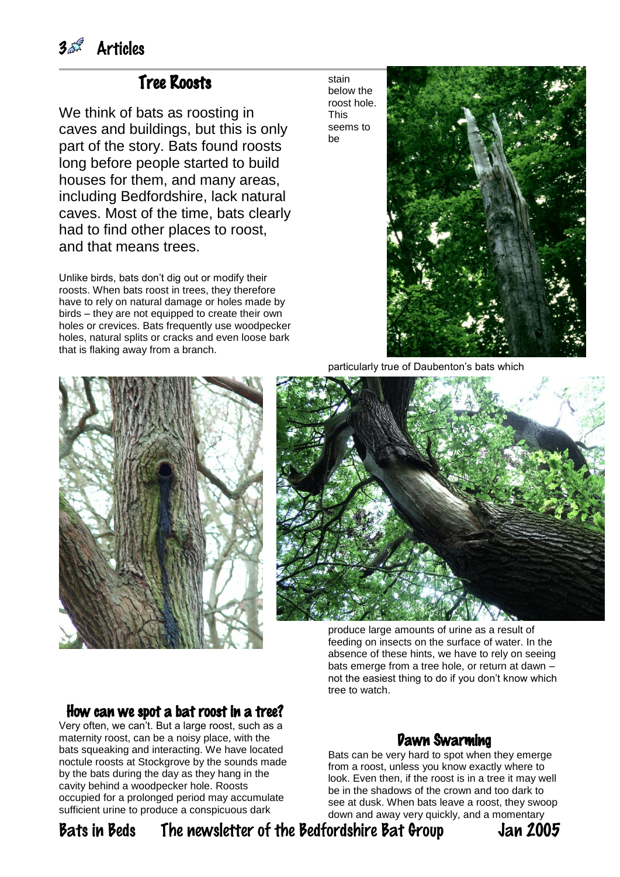## Tree Roosts

We think of bats as roosting in caves and buildings, but this is only part of the story. Bats found roosts long before people started to build houses for them, and many areas, including Bedfordshire, lack natural caves. Most of the time, bats clearly had to find other places to roost, and that means trees.

Unlike birds, bats don't dig out or modify their roosts. When bats roost in trees, they therefore have to rely on natural damage or holes made by birds – they are not equipped to create their own holes or crevices. Bats frequently use woodpecker holes, natural splits or cracks and even loose bark that is flaking away from a branch.

stain below the roost hole. This seems to be



particularly true of Daubenton's bats which



produce large amounts of urine as a result of feeding on insects on the surface of water. In the absence of these hints, we have to rely on seeing bats emerge from a tree hole, or return at dawn – not the easiest thing to do if you don't know which tree to watch.

#### How can we spot a bat roost in a tree?

Very often, we can't. But a large roost, such as a maternity roost, can be a noisy place, with the bats squeaking and interacting. We have located noctule roosts at Stockgrove by the sounds made by the bats during the day as they hang in the cavity behind a woodpecker hole. Roosts occupied for a prolonged period may accumulate sufficient urine to produce a conspicuous dark

## Dawn Swarming

Bats can be very hard to spot when they emerge from a roost, unless you know exactly where to look. Even then, if the roost is in a tree it may well be in the shadows of the crown and too dark to see at dusk. When bats leave a roost, they swoop down and away very quickly, and a momentary

## Bats in Beds The newsletter of the Bedfordshire Bat Group Jan 2005